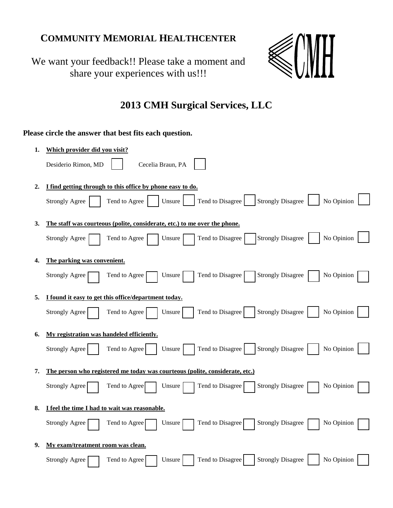## **COMMUNITY MEMORIAL HEALTHCENTER**

We want your feedback!! Please take a moment and share your experiences with us!!!



## **2013 CMH Surgical Services, LLC**

## **Please circle the answer that best fits each question.**

| 1. | Which provider did you visit?                                                                                  |
|----|----------------------------------------------------------------------------------------------------------------|
|    | Cecelia Braun, PA<br>Desiderio Rimon, MD                                                                       |
| 2. | I find getting through to this office by phone easy to do.                                                     |
|    | Tend to Disagree<br><b>Strongly Disagree</b><br>No Opinion<br>Tend to Agree<br><b>Strongly Agree</b><br>Unsure |
| 3. | The staff was courteous (polite, considerate, etc.) to me over the phone.                                      |
|    | No Opinion<br><b>Strongly Disagree</b><br>Tend to Disagree<br><b>Strongly Agree</b><br>Tend to Agree<br>Unsure |
| 4. | The parking was convenient.                                                                                    |
|    | Tend to Disagree<br><b>Strongly Disagree</b><br>No Opinion<br>Unsure<br><b>Strongly Agree</b><br>Tend to Agree |
| 5. | I found it easy to get this office/department today.                                                           |
|    | No Opinion<br>Tend to Disagree<br><b>Strongly Disagree</b><br><b>Strongly Agree</b><br>Tend to Agree<br>Unsure |
| 6. | My registration was handeled efficiently.                                                                      |
|    | <b>Strongly Disagree</b><br><b>Strongly Agree</b><br>Tend to Agree<br>Tend to Disagree<br>No Opinion<br>Unsure |
| 7. | The person who registered me today was courteous (polite, considerate, etc.)                                   |
|    | Tend to Disagree<br><b>Strongly Disagree</b><br>No Opinion<br>Strongly Agree<br>Tend to Agree<br>Unsure        |
| 8. | I feel the time I had to wait was reasonable.                                                                  |
|    | Tend to Disagree<br><b>Strongly Disagree</b><br>No Opinion<br>Tend to Agree<br><b>Strongly Agree</b><br>Unsure |
| 9. | My exam/treatment room was clean.                                                                              |
|    | <b>Strongly Disagree</b><br>Tend to Disagree<br>No Opinion<br>Tend to Agree<br>Unsure<br><b>Strongly Agree</b> |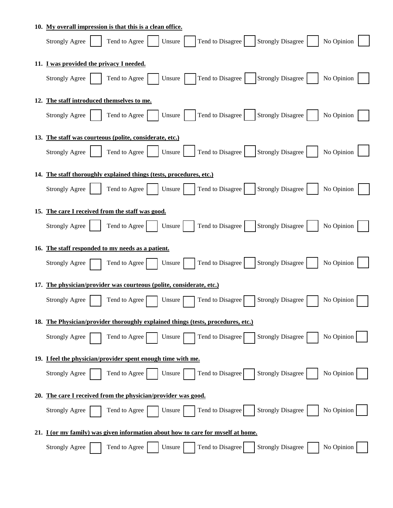|     | 10. My overall impression is that this is a clean office.                                                      |  |  |
|-----|----------------------------------------------------------------------------------------------------------------|--|--|
|     | Strongly Disagree<br>Tend to Agree<br>Tend to Disagree<br>No Opinion<br><b>Strongly Agree</b><br>Unsure        |  |  |
|     | 11. I was provided the privacy I needed.                                                                       |  |  |
|     | Tend to Disagree<br>Strongly Disagree<br>Tend to Agree<br>No Opinion<br><b>Strongly Agree</b><br>Unsure        |  |  |
|     | 12. The staff introduced themselves to me.                                                                     |  |  |
|     | Tend to Disagree<br><b>Strongly Disagree</b><br>Tend to Agree<br>No Opinion<br><b>Strongly Agree</b><br>Unsure |  |  |
|     | 13. The staff was courteous (polite, considerate, etc.)                                                        |  |  |
|     | Tend to Disagree   Strongly Disagree<br>No Opinion<br>Tend to Agree<br><b>Strongly Agree</b><br>Unsure         |  |  |
|     | 14. The staff thoroughly explained things (tests, procedures, etc.)                                            |  |  |
|     | Tend to Disagree<br><b>Strongly Disagree</b><br><b>Strongly Agree</b><br>Tend to Agree<br>No Opinion<br>Unsure |  |  |
| 15. | The care I received from the staff was good.                                                                   |  |  |
|     | <b>Strongly Agree</b><br>Tend to Agree<br>Tend to Disagree<br><b>Strongly Disagree</b><br>No Opinion<br>Unsure |  |  |
|     | 16. The staff responded to my needs as a patient.                                                              |  |  |
|     | Tend to Disagree<br><b>Strongly Disagree</b><br>Tend to Agree<br>No Opinion<br><b>Strongly Agree</b><br>Unsure |  |  |
| 17. | The physician/provider was courteous (polite, considerate, etc.)                                               |  |  |
|     | Tend to Disagree<br><b>Strongly Disagree</b><br>No Opinion<br><b>Strongly Agree</b><br>Tend to Agree<br>Unsure |  |  |
|     | 18. The Physician/provider thoroughly explained things (tests, procedures, etc.)                               |  |  |
|     | No Opinion<br>Tend to Disagree<br><b>Strongly Disagree</b><br><b>Strongly Agree</b><br>Tend to Agree<br>Unsure |  |  |
|     | 19. I feel the physician/provider spent enough time with me.                                                   |  |  |
|     | <b>Strongly Disagree</b><br>No Opinion<br>Tend to Disagree<br>Tend to Agree<br>Unsure<br><b>Strongly Agree</b> |  |  |
| 20. | The care I received from the physician/provider was good.                                                      |  |  |
|     | Strongly Disagree<br>Tend to Disagree<br>No Opinion<br>Tend to Agree<br>Unsure<br><b>Strongly Agree</b>        |  |  |
|     | 21. I (or my family) was given information about how to care for myself at home.                               |  |  |
|     | Tend to Agree<br>Tend to Disagree<br><b>Strongly Disagree</b><br>No Opinion<br><b>Strongly Agree</b><br>Unsure |  |  |